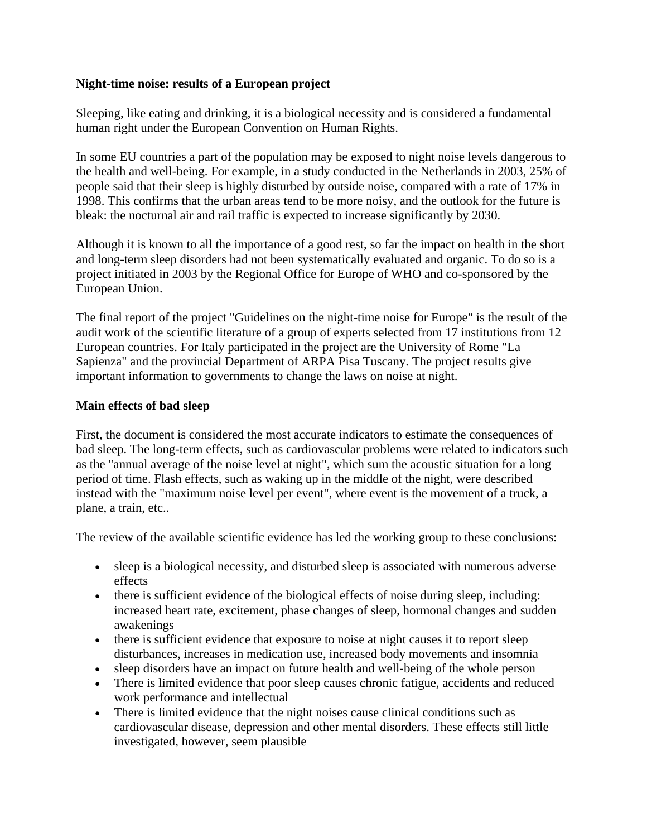## **Night-time noise: results of a European project**

Sleeping, like eating and drinking, it is a biological necessity and is considered a fundamental human right under the European Convention on Human Rights.

In some EU countries a part of the population may be exposed to night noise levels dangerous to the health and well-being. For example, in a study conducted in the Netherlands in 2003, 25% of people said that their sleep is highly disturbed by outside noise, compared with a rate of 17% in 1998. This confirms that the urban areas tend to be more noisy, and the outlook for the future is bleak: the nocturnal air and rail traffic is expected to increase significantly by 2030.

Although it is known to all the importance of a good rest, so far the impact on health in the short and long-term sleep disorders had not been systematically evaluated and organic. To do so is a project initiated in 2003 by the Regional Office for Europe of WHO and co-sponsored by the European Union.

The final report of the project "Guidelines on the night-time noise for Europe" is the result of the audit work of the scientific literature of a group of experts selected from 17 institutions from 12 European countries. For Italy participated in the project are the University of Rome "La Sapienza" and the provincial Department of ARPA Pisa Tuscany. The project results give important information to governments to change the laws on noise at night.

## **Main effects of bad sleep**

First, the document is considered the most accurate indicators to estimate the consequences of bad sleep. The long-term effects, such as cardiovascular problems were related to indicators such as the "annual average of the noise level at night", which sum the acoustic situation for a long period of time. Flash effects, such as waking up in the middle of the night, were described instead with the "maximum noise level per event", where event is the movement of a truck, a plane, a train, etc..

The review of the available scientific evidence has led the working group to these conclusions:

- sleep is a biological necessity, and disturbed sleep is associated with numerous adverse effects
- there is sufficient evidence of the biological effects of noise during sleep, including: increased heart rate, excitement, phase changes of sleep, hormonal changes and sudden awakenings
- there is sufficient evidence that exposure to noise at night causes it to report sleep disturbances, increases in medication use, increased body movements and insomnia
- sleep disorders have an impact on future health and well-being of the whole person
- There is limited evidence that poor sleep causes chronic fatigue, accidents and reduced work performance and intellectual
- There is limited evidence that the night noises cause clinical conditions such as cardiovascular disease, depression and other mental disorders. These effects still little investigated, however, seem plausible